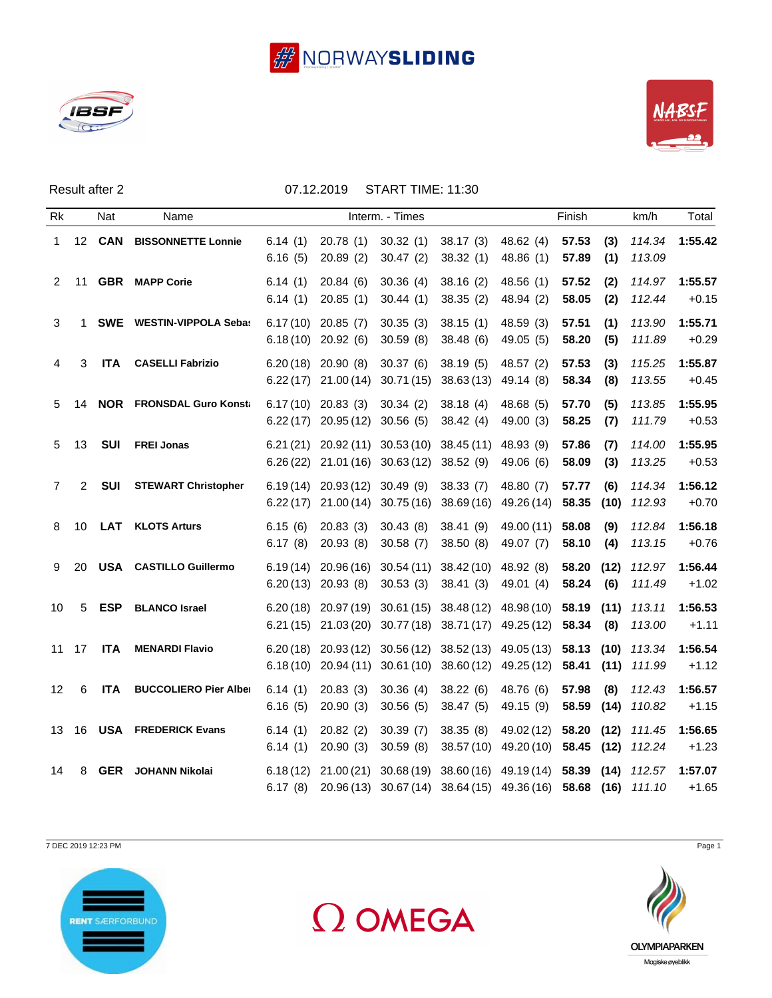





Result after 2 07.12.2019 START TIME: 11:30

| Rk           |                 | <b>Nat</b>    | Name                            |                    |                                                         | Interm. - Times                                                                                    |                       |                                                                                                                                                    | Finish         |             | km/h             | Total              |
|--------------|-----------------|---------------|---------------------------------|--------------------|---------------------------------------------------------|----------------------------------------------------------------------------------------------------|-----------------------|----------------------------------------------------------------------------------------------------------------------------------------------------|----------------|-------------|------------------|--------------------|
| $\mathbf{1}$ |                 | 12 <b>CAN</b> | <b>BISSONNETTE Lonnie</b>       | 6.14(1)<br>6.16(5) | 20.78(1)<br>20.89(2)                                    | 30.32(1)<br>30.47(2)                                                                               | 38.17(3)<br>38.32(1)  | 48.62(4)<br>48.86 (1)                                                                                                                              | 57.53<br>57.89 | (3)<br>(1)  | 114.34<br>113.09 | 1:55.42            |
| 2            | 11              |               | <b>GBR</b> MAPP Corie           | 6.14(1)<br>6.14(1) | 20.84(6)<br>20.85(1)                                    | 30.36(4)<br>30.44(1)                                                                               | 38.16(2)<br>38.35(2)  | 48.56(1)<br>48.94 (2)                                                                                                                              | 57.52<br>58.05 | (2)<br>(2)  | 114.97<br>112.44 | 1:55.57<br>$+0.15$ |
| 3            | 1               |               | <b>SWE</b> WESTIN-VIPPOLA Sebas |                    | $6.17(10)$ 20.85 (7)<br>$6.18(10)$ 20.92 (6)            | 30.35(3)<br>30.59(8)                                                                               | 38.15(1)<br>38.48(6)  | 48.59 (3)<br>49.05(5)                                                                                                                              | 57.51<br>58.20 | (1)<br>(5)  | 113.90<br>111.89 | 1:55.71<br>$+0.29$ |
| 4            | 3               | ITA           | <b>CASELLI Fabrizio</b>         |                    | $6.20(18)$ 20.90 (8)                                    | 30.37(6)<br>$6.22(17)$ 21.00 (14) 30.71 (15) 38.63 (13) 49.14 (8)                                  | 38.19(5)              | 48.57 (2)                                                                                                                                          | 57.53<br>58.34 | (3)<br>(8)  | 115.25<br>113.55 | 1:55.87<br>$+0.45$ |
| 5            | 14              |               | <b>NOR</b> FRONSDAL Guro Konsta |                    | $6.17(10)$ 20.83 (3)<br>$6.22(17)$ 20.95 (12) 30.56 (5) | 30.34(2)                                                                                           | 38.18(4)<br>38.42(4)  | 48.68(5)<br>49.00(3)                                                                                                                               | 57.70<br>58.25 | (5)<br>(7)  | 113.85<br>111.79 | 1:55.95<br>$+0.53$ |
| 5            | 13              | <b>SUI</b>    | <b>FREI Jonas</b>               |                    |                                                         | 6.21 (21) 20.92 (11) 30.53 (10) 38.45 (11) 48.93 (9)<br>$6.26(22)$ 21.01 (16) 30.63 (12) 38.52 (9) |                       | 49.06 (6)                                                                                                                                          | 57.86<br>58.09 | (7)<br>(3)  | 114.00<br>113.25 | 1:55.95<br>$+0.53$ |
| 7            | $\overline{2}$  | <b>SUI</b>    | <b>STEWART Christopher</b>      | 6.22(17)           | $6.19(14)$ 20.93 (12) 30.49 (9)                         | 21.00 (14) 30.75 (16) 38.69 (16) 49.26 (14)                                                        | 38.33(7)              | 48.80 (7)                                                                                                                                          | 57.77<br>58.35 | (6)<br>(10) | 114.34<br>112.93 | 1:56.12<br>$+0.70$ |
| 8            | 10 <sup>°</sup> |               | <b>LAT</b> KLOTS Arturs         | 6.15(6)<br>6.17(8) | 20.83(3)<br>20.93(8)                                    | 30.43(8)<br>30.58(7)                                                                               | 38.41 (9)<br>38.50(8) | 49.00 (11)<br>49.07 (7)                                                                                                                            | 58.08<br>58.10 | (9)<br>(4)  | 112.84<br>113.15 | 1:56.18<br>$+0.76$ |
| 9            | 20              |               | <b>USA CASTILLO Guillermo</b>   |                    | $6.20(13)$ 20.93 (8)                                    | $6.19(14)$ 20.96(16) 30.54(11) 38.42(10) 48.92(8)<br>30.53(3)                                      | 38.41(3)              | 49.01 (4)                                                                                                                                          | 58.20<br>58.24 | (12)<br>(6) | 112.97<br>111.49 | 1:56.44<br>$+1.02$ |
| 10           | 5               | <b>ESP</b>    | <b>BLANCO Israel</b>            |                    |                                                         |                                                                                                    |                       | $6.20(18)$ $20.97(19)$ $30.61(15)$ $38.48(12)$ $48.98(10)$<br>6.21 (15) 21.03 (20) 30.77 (18) 38.71 (17) 49.25 (12)                                | 58.19<br>58.34 | (11)<br>(8) | 113.11<br>113.00 | 1:56.53<br>$+1.11$ |
|              | $11 \t17$       | <b>ITA</b>    | <b>MENARDI Flavio</b>           |                    |                                                         |                                                                                                    |                       | 6.20 (18) 20.93 (12) 30.56 (12) 38.52 (13) 49.05 (13) 58.13 (10) 113.34<br>6.18 (10) 20.94 (11) 30.61 (10) 38.60 (12) 49.25 (12) 58.41 (11) 111.99 |                |             |                  | 1:56.54<br>$+1.12$ |
| 12           | 6               | <b>ITA</b>    | <b>BUCCOLIERO Pier Alber</b>    | 6.14(1)<br>6.16(5) | 20.83(3)<br>20.90(3)                                    | 30.36(4)<br>30.56(5)                                                                               | 38.22(6)<br>38.47(5)  | 48.76 (6)<br>49.15 (9)                                                                                                                             | 57.98<br>58.59 | (8)<br>(14) | 112.43<br>110.82 | 1:56.57<br>$+1.15$ |
| 13           |                 |               | 16 USA FREDERICK Evans          | 6.14(1)<br>6.14(1) | 20.82(2)<br>20.90(3)                                    | 30.39(7)<br>30.59(8)                                                                               | 38.35(8)              | 49.02 (12)<br>38.57 (10) 49.20 (10) 58.45 (12)                                                                                                     | 58.20 (12)     |             | 111.45<br>112.24 | 1:56.65<br>$+1.23$ |
| 14           | 8               | <b>GER</b>    | JOHANN Nikolai                  |                    |                                                         |                                                                                                    |                       | 6.18 (12) 21.00 (21) 30.68 (19) 38.60 (16) 49.19 (14) 58.39 (14) 112.57<br>6.17 (8) 20.96 (13) 30.67 (14) 38.64 (15) 49.36 (16) 58.68 (16) 111.10  |                |             |                  | 1:57.07<br>$+1.65$ |

7 DEC 2019 12:23 PM Page 1







Magiske øyeblikk